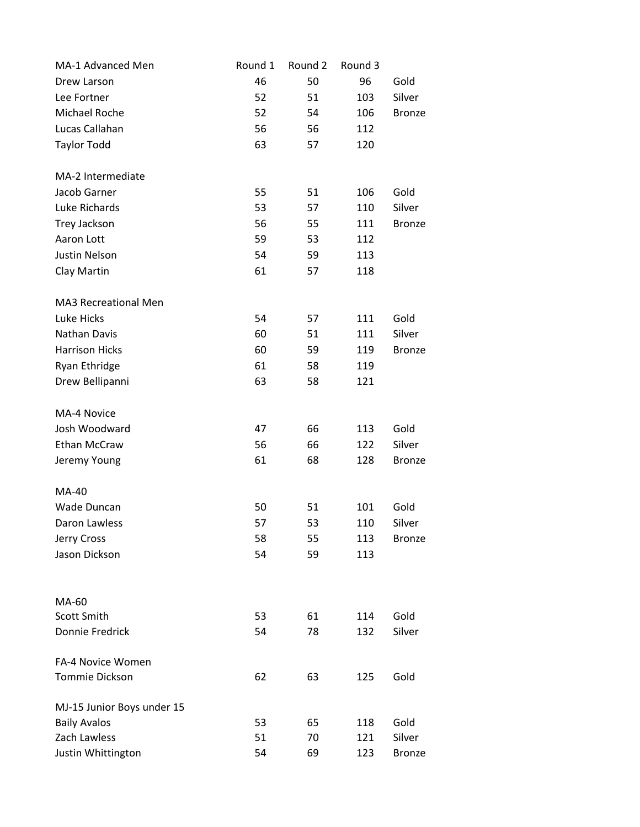| MA-1 Advanced Men          | Round 1 | Round 2 | Round 3 |               |
|----------------------------|---------|---------|---------|---------------|
| Drew Larson                | 46      | 50      | 96      | Gold          |
| Lee Fortner                | 52      | 51      | 103     | Silver        |
| Michael Roche              | 52      | 54      | 106     | <b>Bronze</b> |
| Lucas Callahan             | 56      | 56      | 112     |               |
| <b>Taylor Todd</b>         | 63      | 57      | 120     |               |
|                            |         |         |         |               |
| MA-2 Intermediate          |         |         |         |               |
| Jacob Garner               | 55      | 51      | 106     | Gold          |
| Luke Richards              | 53      | 57      | 110     | Silver        |
| Trey Jackson               | 56      | 55      | 111     | <b>Bronze</b> |
| Aaron Lott                 | 59      | 53      | 112     |               |
| Justin Nelson              | 54      | 59      | 113     |               |
| Clay Martin                | 61      | 57      | 118     |               |
| MA3 Recreational Men       |         |         |         |               |
| Luke Hicks                 | 54      | 57      | 111     | Gold          |
| Nathan Davis               | 60      | 51      |         | Silver        |
|                            |         |         | 111     |               |
| <b>Harrison Hicks</b>      | 60      | 59      | 119     | <b>Bronze</b> |
| Ryan Ethridge              | 61      | 58      | 119     |               |
| Drew Bellipanni            | 63      | 58      | 121     |               |
| MA-4 Novice                |         |         |         |               |
| Josh Woodward              | 47      | 66      | 113     | Gold          |
| Ethan McCraw               | 56      | 66      | 122     | Silver        |
| Jeremy Young               | 61      | 68      | 128     | <b>Bronze</b> |
| <b>MA-40</b>               |         |         |         |               |
| Wade Duncan                | 50      | 51      | 101     | Gold          |
| Daron Lawless              | 57      | 53      | 110     | Silver        |
| Jerry Cross                | 58      | 55      | 113     | <b>Bronze</b> |
| Jason Dickson              | 54      | 59      | 113     |               |
|                            |         |         |         |               |
|                            |         |         |         |               |
| MA-60<br>Scott Smith       | 53      | 61      | 114     | Gold          |
| Donnie Fredrick            | 54      | 78      | 132     | Silver        |
|                            |         |         |         |               |
| FA-4 Novice Women          |         |         |         |               |
| <b>Tommie Dickson</b>      | 62      | 63      | 125     | Gold          |
| MJ-15 Junior Boys under 15 |         |         |         |               |
| <b>Baily Avalos</b>        | 53      | 65      | 118     | Gold          |
| Zach Lawless               | 51      | 70      | 121     | Silver        |
| Justin Whittington         | 54      | 69      | 123     | <b>Bronze</b> |